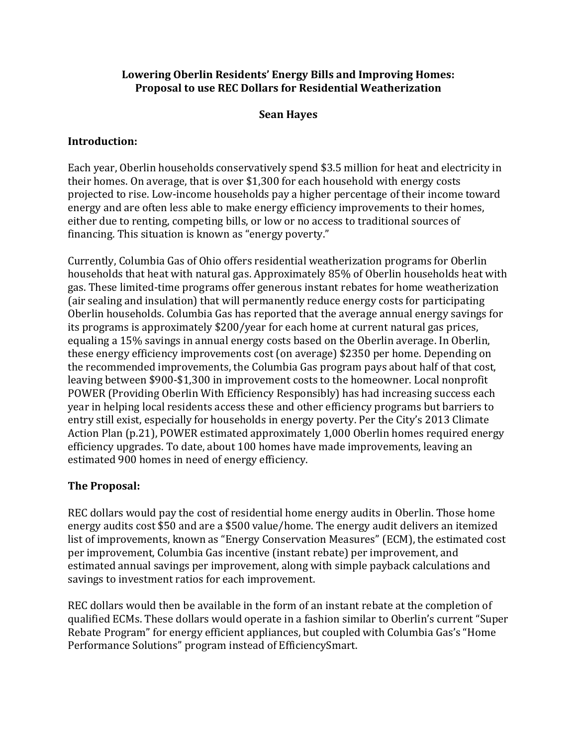#### **Lowering Oberlin Residents' Energy Bills and Improving Homes: Proposal to use REC Dollars for Residential Weatherization**

### **Sean Hayes**

#### **Introduction:**

Each year, Oberlin households conservatively spend \$3.5 million for heat and electricity in their homes. On average, that is over \$1,300 for each household with energy costs projected to rise. Low-income households pay a higher percentage of their income toward energy and are often less able to make energy efficiency improvements to their homes, either due to renting, competing bills, or low or no access to traditional sources of financing. This situation is known as "energy poverty."

Currently, Columbia Gas of Ohio offers residential weatherization programs for Oberlin households that heat with natural gas. Approximately 85% of Oberlin households heat with gas. These limited-time programs offer generous instant rebates for home weatherization (air sealing and insulation) that will permanently reduce energy costs for participating Oberlin households. Columbia Gas has reported that the average annual energy savings for its programs is approximately \$200/year for each home at current natural gas prices, equaling a 15% savings in annual energy costs based on the Oberlin average. In Oberlin, these energy efficiency improvements cost (on average) \$2350 per home. Depending on the recommended improvements, the Columbia Gas program pays about half of that cost, leaving between \$900-\$1,300 in improvement costs to the homeowner. Local nonprofit POWER (Providing Oberlin With Efficiency Responsibly) has had increasing success each year in helping local residents access these and other efficiency programs but barriers to entry still exist, especially for households in energy poverty. Per the City's 2013 Climate Action Plan (p.21), POWER estimated approximately 1,000 Oberlin homes required energy efficiency upgrades. To date, about 100 homes have made improvements, leaving an estimated 900 homes in need of energy efficiency.

# **The Proposal:**

REC dollars would pay the cost of residential home energy audits in Oberlin. Those home energy audits cost \$50 and are a \$500 value/home. The energy audit delivers an itemized list of improvements, known as "Energy Conservation Measures" (ECM), the estimated cost per improvement, Columbia Gas incentive (instant rebate) per improvement, and estimated annual savings per improvement, along with simple payback calculations and savings to investment ratios for each improvement.

REC dollars would then be available in the form of an instant rebate at the completion of qualified ECMs. These dollars would operate in a fashion similar to Oberlin's current "Super Rebate Program" for energy efficient appliances, but coupled with Columbia Gas's "Home Performance Solutions" program instead of EfficiencySmart.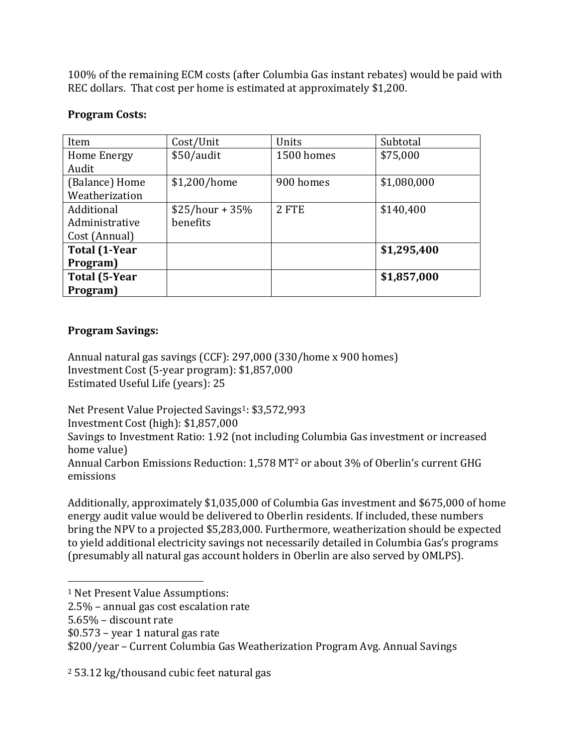100% of the remaining ECM costs (after Columbia Gas instant rebates) would be paid with REC dollars. That cost per home is estimated at approximately \$1,200.

### **Program Costs:**

| Item                 | Cost/Unit        | Units      | Subtotal    |
|----------------------|------------------|------------|-------------|
| Home Energy          | \$50/audit       | 1500 homes | \$75,000    |
| Audit                |                  |            |             |
| (Balance) Home       | \$1,200/home     | 900 homes  | \$1,080,000 |
| Weatherization       |                  |            |             |
| Additional           | $$25/hour + 35%$ | 2 FTE      | \$140,400   |
| Administrative       | benefits         |            |             |
| Cost (Annual)        |                  |            |             |
| <b>Total (1-Year</b> |                  |            | \$1,295,400 |
| Program)             |                  |            |             |
| <b>Total (5-Year</b> |                  |            | \$1,857,000 |
| Program)             |                  |            |             |

### **Program Savings:**

Annual natural gas savings (CCF): 297,000 (330/home x 900 homes) Investment Cost (5-year program): \$1,857,000 Estimated Useful Life (years): 25

Net Present Value Projected Savings<sup>1</sup>: \$3,572,993 Investment Cost (high): \$1,857,000 Savings to Investment Ratio: 1.92 (not including Columbia Gas investment or increased home value) Annual Carbon Emissions Reduction: 1,578 MT<sup>2</sup> or about 3% of Oberlin's current GHG emissions

Additionally, approximately \$1,035,000 of Columbia Gas investment and \$675,000 of home energy audit value would be delivered to Oberlin residents. If included, these numbers bring the NPV to a projected \$5,283,000. Furthermore, weatherization should be expected to yield additional electricity savings not necessarily detailed in Columbia Gas's programs (presumably all natural gas account holders in Oberlin are also served by OMLPS).

- 2.5% annual gas cost escalation rate
- 5.65% discount rate

 $\overline{a}$ 

\$0.573 – year 1 natural gas rate

\$200/year – Current Columbia Gas Weatherization Program Avg. Annual Savings

<sup>2</sup> 53.12 kg/thousand cubic feet natural gas

<sup>1</sup> Net Present Value Assumptions: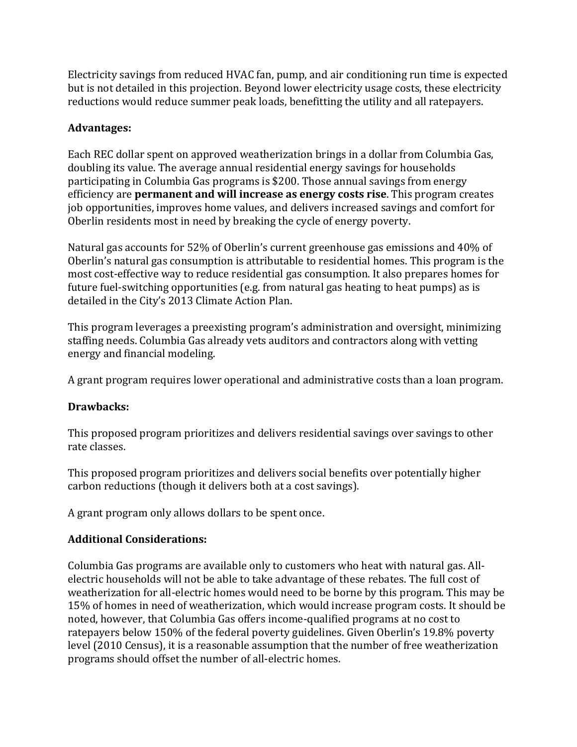Electricity savings from reduced HVAC fan, pump, and air conditioning run time is expected but is not detailed in this projection. Beyond lower electricity usage costs, these electricity reductions would reduce summer peak loads, benefitting the utility and all ratepayers.

# **Advantages:**

Each REC dollar spent on approved weatherization brings in a dollar from Columbia Gas, doubling its value. The average annual residential energy savings for households participating in Columbia Gas programs is \$200. Those annual savings from energy efficiency are **permanent and will increase as energy costs rise**. This program creates job opportunities, improves home values, and delivers increased savings and comfort for Oberlin residents most in need by breaking the cycle of energy poverty.

Natural gas accounts for 52% of Oberlin's current greenhouse gas emissions and 40% of Oberlin's natural gas consumption is attributable to residential homes. This program is the most cost-effective way to reduce residential gas consumption. It also prepares homes for future fuel-switching opportunities (e.g. from natural gas heating to heat pumps) as is detailed in the City's 2013 Climate Action Plan.

This program leverages a preexisting program's administration and oversight, minimizing staffing needs. Columbia Gas already vets auditors and contractors along with vetting energy and financial modeling.

A grant program requires lower operational and administrative costs than a loan program.

# **Drawbacks:**

This proposed program prioritizes and delivers residential savings over savings to other rate classes.

This proposed program prioritizes and delivers social benefits over potentially higher carbon reductions (though it delivers both at a cost savings).

A grant program only allows dollars to be spent once.

# **Additional Considerations:**

Columbia Gas programs are available only to customers who heat with natural gas. Allelectric households will not be able to take advantage of these rebates. The full cost of weatherization for all-electric homes would need to be borne by this program. This may be 15% of homes in need of weatherization, which would increase program costs. It should be noted, however, that Columbia Gas offers income-qualified programs at no cost to ratepayers below 150% of the federal poverty guidelines. Given Oberlin's 19.8% poverty level (2010 Census), it is a reasonable assumption that the number of free weatherization programs should offset the number of all-electric homes.